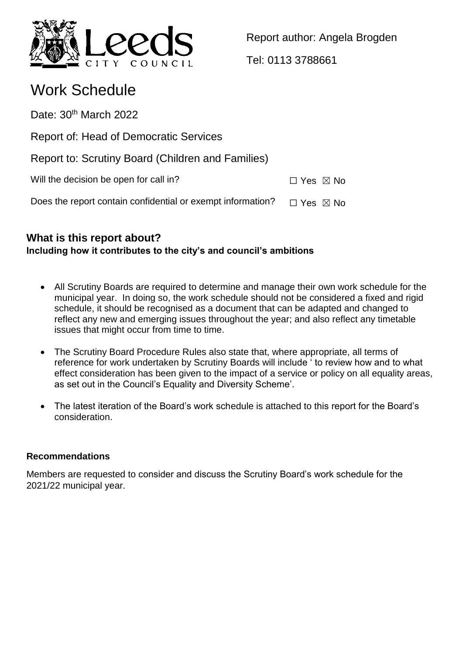

Report author: Angela Brogden

Tel: 0113 3788661

# Work Schedule

Date: 30<sup>th</sup> March 2022

Report of: Head of Democratic Services

Report to: Scrutiny Board (Children and Families)

Will the decision be open for call in?  $\Box$  Yes  $\boxtimes$  No

Does the report contain confidential or exempt information?  $\Box$  Yes  $\boxtimes$  No

# **What is this report about? Including how it contributes to the city's and council's ambitions**

- All Scrutiny Boards are required to determine and manage their own work schedule for the municipal year. In doing so, the work schedule should not be considered a fixed and rigid schedule, it should be recognised as a document that can be adapted and changed to reflect any new and emerging issues throughout the year; and also reflect any timetable issues that might occur from time to time.
- The Scrutiny Board Procedure Rules also state that, where appropriate, all terms of reference for work undertaken by Scrutiny Boards will include ' to review how and to what effect consideration has been given to the impact of a service or policy on all equality areas, as set out in the Council's Equality and Diversity Scheme'.
- The latest iteration of the Board's work schedule is attached to this report for the Board's consideration.

# **Recommendations**

Members are requested to consider and discuss the Scrutiny Board's work schedule for the 2021/22 municipal year.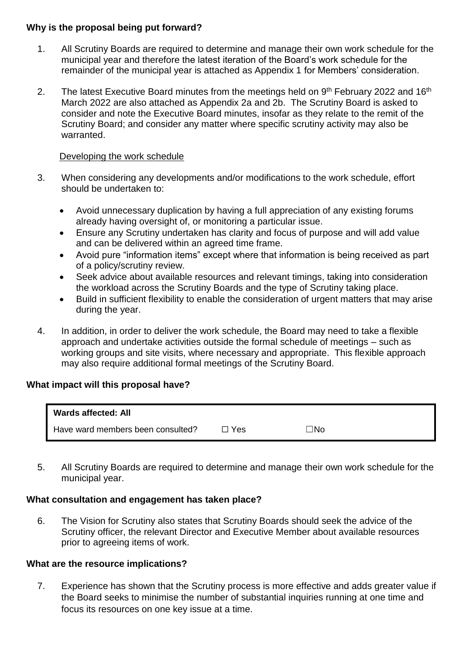## **Why is the proposal being put forward?**

- 1. All Scrutiny Boards are required to determine and manage their own work schedule for the municipal year and therefore the latest iteration of the Board's work schedule for the remainder of the municipal year is attached as Appendix 1 for Members' consideration.
- 2. The latest Executive Board minutes from the meetings held on 9<sup>th</sup> February 2022 and 16<sup>th</sup> March 2022 are also attached as Appendix 2a and 2b. The Scrutiny Board is asked to consider and note the Executive Board minutes, insofar as they relate to the remit of the Scrutiny Board; and consider any matter where specific scrutiny activity may also be warranted.

## Developing the work schedule

- 3. When considering any developments and/or modifications to the work schedule, effort should be undertaken to:
	- Avoid unnecessary duplication by having a full appreciation of any existing forums already having oversight of, or monitoring a particular issue.
	- Ensure any Scrutiny undertaken has clarity and focus of purpose and will add value and can be delivered within an agreed time frame.
	- Avoid pure "information items" except where that information is being received as part of a policy/scrutiny review.
	- Seek advice about available resources and relevant timings, taking into consideration the workload across the Scrutiny Boards and the type of Scrutiny taking place.
	- Build in sufficient flexibility to enable the consideration of urgent matters that may arise during the year.
- 4. In addition, in order to deliver the work schedule, the Board may need to take a flexible approach and undertake activities outside the formal schedule of meetings – such as working groups and site visits, where necessary and appropriate. This flexible approach may also require additional formal meetings of the Scrutiny Board.

# **What impact will this proposal have?**

| Wards affected: All               |     |     |
|-----------------------------------|-----|-----|
| Have ward members been consulted? | Yes | ⊓No |

5. All Scrutiny Boards are required to determine and manage their own work schedule for the municipal year.

# **What consultation and engagement has taken place?**

6. The Vision for Scrutiny also states that Scrutiny Boards should seek the advice of the Scrutiny officer, the relevant Director and Executive Member about available resources prior to agreeing items of work.

#### **What are the resource implications?**

7. Experience has shown that the Scrutiny process is more effective and adds greater value if the Board seeks to minimise the number of substantial inquiries running at one time and focus its resources on one key issue at a time.